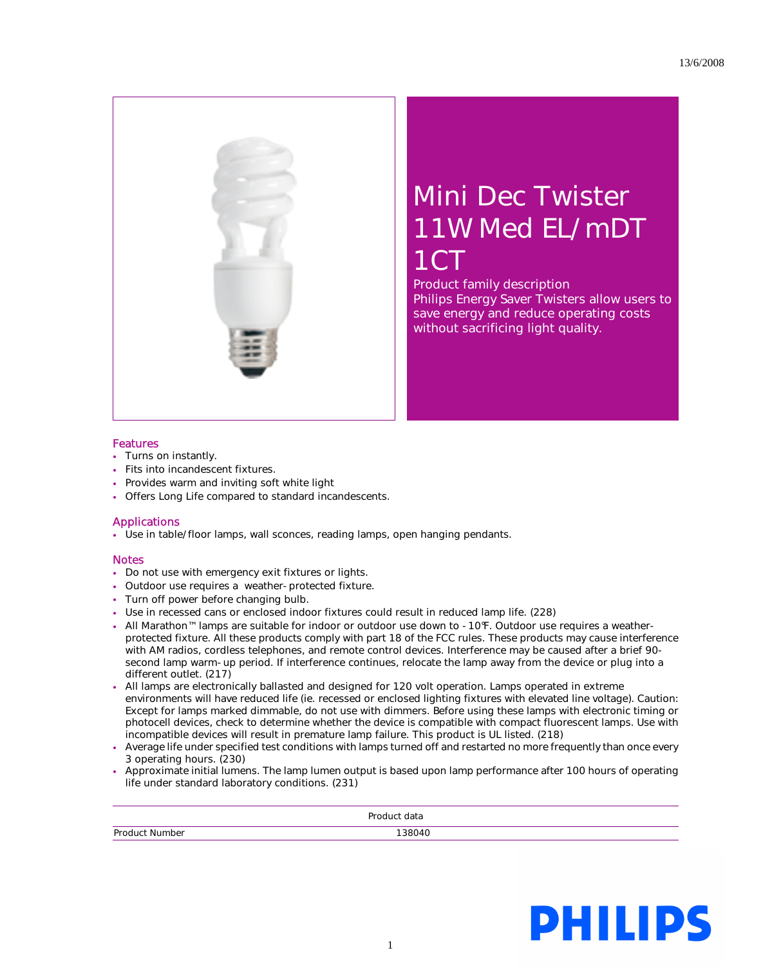

## Mini Dec Twister 11W Med EL/mDT 1CT

Product family description Philips Energy Saver Twisters allow users to save energy and reduce operating costs without sacrificing light quality.

## Features

- Turns on instantly.
- Fits into incandescent fixtures.
- Provides warm and inviting soft white light
- Offers Long Life compared to standard incandescents.

## Applications

• Use in table/floor lamps, wall sconces, reading lamps, open hanging pendants.

## Notes

- Do not use with emergency exit fixtures or lights.
- Outdoor use requires a weather-protected fixture.
- Turn off power before changing bulb.
- Use in recessed cans or enclosed indoor fixtures could result in reduced lamp life. (228)
- All Marathon™ lamps are suitable for indoor or outdoor use down to -10°F. Outdoor use requires a weatherprotected fixture. All these products comply with part 18 of the FCC rules. These products may cause interference with AM radios, cordless telephones, and remote control devices. Interference may be caused after a brief 90 second lamp warm-up period. If interference continues, relocate the lamp away from the device or plug into a different outlet. (217)
- All lamps are electronically ballasted and designed for 120 volt operation. Lamps operated in extreme environments will have reduced life (ie. recessed or enclosed lighting fixtures with elevated line voltage). Caution: Except for lamps marked dimmable, do not use with dimmers. Before using these lamps with electronic timing or photocell devices, check to determine whether the device is compatible with compact fluorescent lamps. Use with incompatible devices will result in premature lamp failure. This product is UL listed. (218)
- Average life under specified test conditions with lamps turned off and restarted no more frequently than once every 3 operating hours. (230)
- Approximate initial lumens. The lamp lumen output is based upon lamp performance after 100 hours of operating life under standard laboratory conditions. (231)

| .          |   |
|------------|---|
| $\sqrt{ }$ | . |

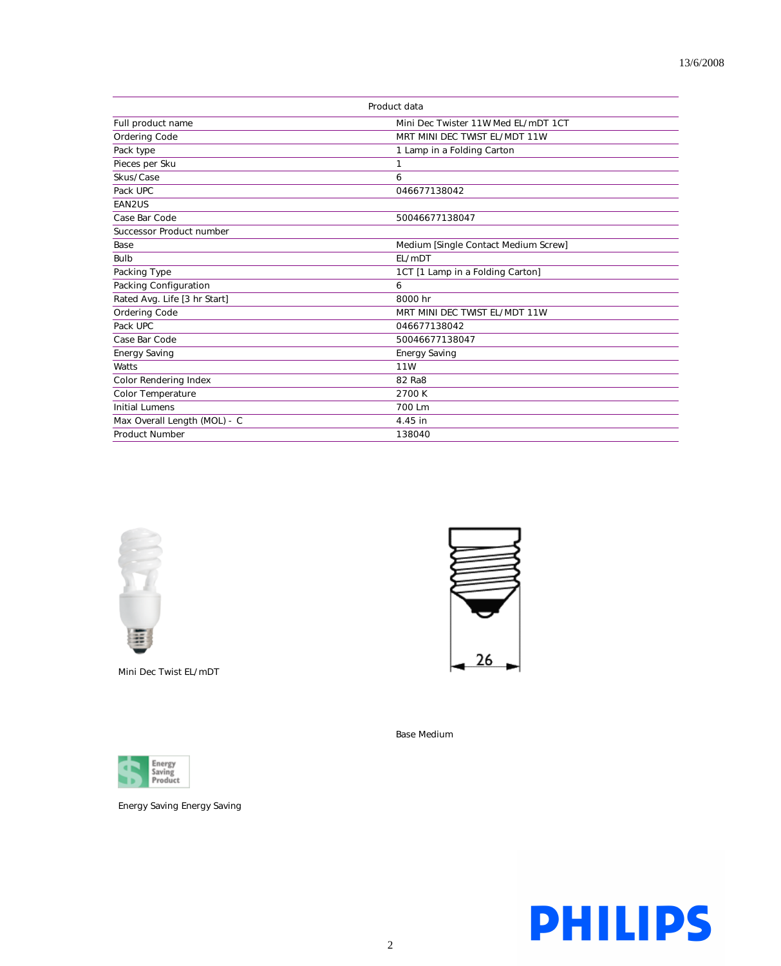| Product data                 |                                      |
|------------------------------|--------------------------------------|
| Full product name            | Mini Dec Twister 11W Med EL/mDT 1CT  |
| Ordering Code                | MRT MINI DEC TWIST EL/MDT 11W        |
| Pack type                    | 1 Lamp in a Folding Carton           |
| Pieces per Sku               | 1                                    |
| Skus/Case                    | 6                                    |
| Pack UPC                     | 046677138042                         |
| EAN2US                       |                                      |
| Case Bar Code                | 50046677138047                       |
| Successor Product number     |                                      |
| Base                         | Medium [Single Contact Medium Screw] |
| Bulb                         | EL/mDT                               |
| Packing Type                 | 1CT [1 Lamp in a Folding Carton]     |
| Packing Configuration        | 6                                    |
| Rated Avg. Life [3 hr Start] | 8000 hr                              |
| <b>Ordering Code</b>         | MRT MINI DEC TWIST EL/MDT 11W        |
| Pack UPC                     | 046677138042                         |
| Case Bar Code                | 50046677138047                       |
| <b>Energy Saving</b>         | <b>Energy Saving</b>                 |
| Watts                        | 11W                                  |
| Color Rendering Index        | 82 Ra8                               |
| Color Temperature            | 2700 K                               |
| <b>Initial Lumens</b>        | 700 Lm                               |
| Max Overall Length (MOL) - C | 4.45 in                              |
| <b>Product Number</b>        | 138040                               |



Mini Dec Twist EL/mDT



Energy Saving Energy Saving



Base Medium